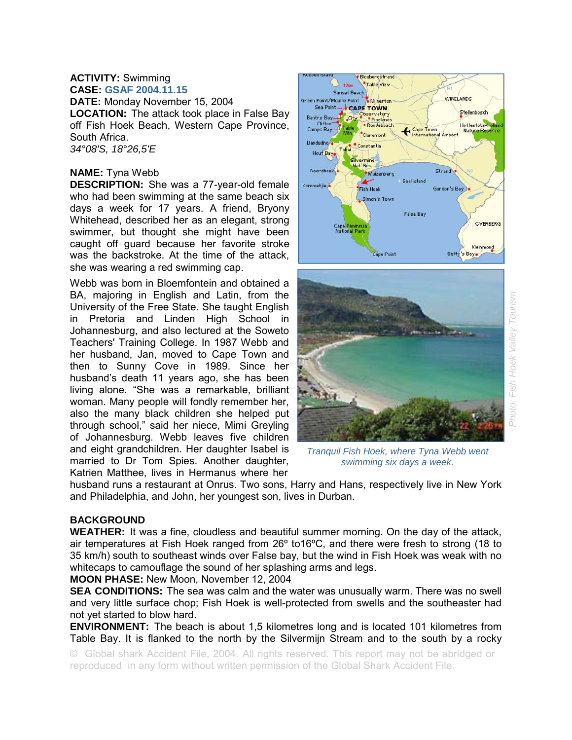#### **ACTIVITY:** Swimming **CASE: GSAF 2004.11.15**

**DATE:** Monday November 15, 2004 **LOCATION:** The attack took place in False Bay off Fish Hoek Beach, Western Cape Province, South Africa. *34°08'S, 18°26,5'E* 

# **NAME:** Tyna Webb

**DESCRIPTION:** She was a 77-year-old female who had been swimming at the same beach six days a week for 17 years. A friend, Bryony Whitehead, described her as an elegant, strong swimmer, but thought she might have been caught off guard because her favorite stroke was the backstroke. At the time of the attack, she was wearing a red swimming cap.

Webb was born in Bloemfontein and obtained a BA, majoring in English and Latin, from the University of the Free State. She taught English in Pretoria and Linden High School in Johannesburg, and also lectured at the Soweto Teachers' Training College. In 1987 Webb and her husband, Jan, moved to Cape Town and then to Sunny Cove in 1989. Since her husband's death 11 years ago, she has been living alone. "She was a remarkable, brilliant woman. Many people will fondly remember her, also the many black children she helped put through school," said her niece, Mimi Greyling of Johannesburg. Webb leaves five children and eight grandchildren. Her daughter Isabel is married to Dr Tom Spies. Another daughter, Katrien Matthee, lives in Hermanus where her



*Tranquil Fish Hoek, where Tyna Webb went swimming six days a week.* 

husband runs a restaurant at Onrus. Two sons, Harry and Hans, respectively live in New York and Philadelphia, and John, her youngest son, lives in Durban.

### **BACKGROUND**

**WEATHER:** It was a fine, cloudless and beautiful summer morning. On the day of the attack, air temperatures at Fish Hoek ranged from 26º to16ºC, and there were fresh to strong (18 to 35 km/h) south to southeast winds over False bay, but the wind in Fish Hoek was weak with no whitecaps to camouflage the sound of her splashing arms and legs.

**MOON PHASE:** New Moon, November 12, 2004

**SEA CONDITIONS:** The sea was calm and the water was unusually warm. There was no swell and very little surface chop; Fish Hoek is well-protected from swells and the southeaster had not yet started to blow hard.

**ENVIRONMENT:** The beach is about 1,5 kilometres long and is located 101 kilometres from Table Bay. It is flanked to the north by the Silvermijn Stream and to the south by a rocky

© Global shark Accident File, 2004. All rights reserved. This report may not be abridged or reproduced in any form without written permission of the Global Shark Accident File.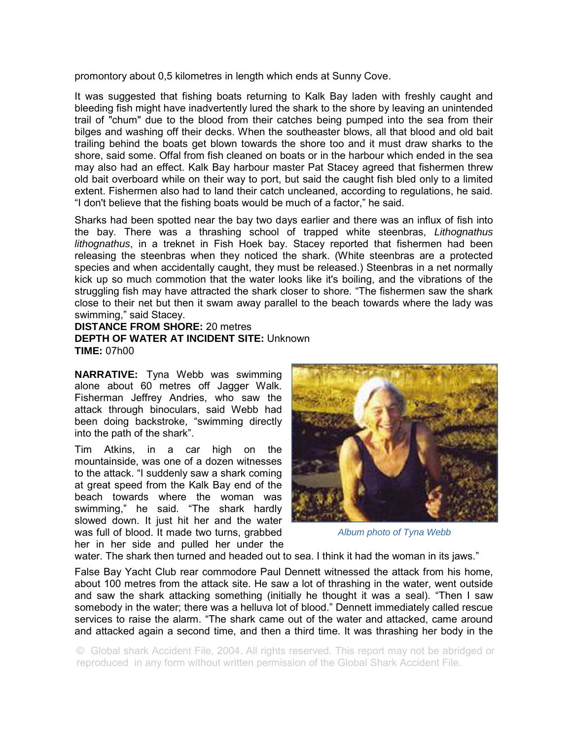promontory about 0,5 kilometres in length which ends at Sunny Cove.

It was suggested that fishing boats returning to Kalk Bay laden with freshly caught and bleeding fish might have inadvertently lured the shark to the shore by leaving an unintended trail of "chum" due to the blood from their catches being pumped into the sea from their bilges and washing off their decks. When the southeaster blows, all that blood and old bait trailing behind the boats get blown towards the shore too and it must draw sharks to the shore, said some. Offal from fish cleaned on boats or in the harbour which ended in the sea may also had an effect. Kalk Bay harbour master Pat Stacey agreed that fishermen threw old bait overboard while on their way to port, but said the caught fish bled only to a limited extent. Fishermen also had to land their catch uncleaned, according to regulations, he said. "I don't believe that the fishing boats would be much of a factor," he said.

Sharks had been spotted near the bay two days earlier and there was an influx of fish into the bay. There was a thrashing school of trapped white steenbras, *Lithognathus lithognathus*, in a treknet in Fish Hoek bay. Stacey reported that fishermen had been releasing the steenbras when they noticed the shark. (White steenbras are a protected species and when accidentally caught, they must be released.) Steenbras in a net normally kick up so much commotion that the water looks like it's boiling, and the vibrations of the struggling fish may have attracted the shark closer to shore. "The fishermen saw the shark close to their net but then it swam away parallel to the beach towards where the lady was swimming," said Stacey.

**DISTANCE FROM SHORE:** 20 metres **DEPTH OF WATER AT INCIDENT SITE:** Unknown **TIME:** 07h00

**NARRATIVE:** Tyna Webb was swimming alone about 60 metres off Jagger Walk. Fisherman Jeffrey Andries, who saw the attack through binoculars, said Webb had been doing backstroke, "swimming directly into the path of the shark".

Tim Atkins, in a car high on the mountainside, was one of a dozen witnesses to the attack. "I suddenly saw a shark coming at great speed from the Kalk Bay end of the beach towards where the woman was swimming," he said. "The shark hardly slowed down. It just hit her and the water was full of blood. It made two turns, grabbed her in her side and pulled her under the



*Album photo of Tyna Webb* 

water. The shark then turned and headed out to sea. I think it had the woman in its jaws."

False Bay Yacht Club rear commodore Paul Dennett witnessed the attack from his home, about 100 metres from the attack site. He saw a lot of thrashing in the water, went outside and saw the shark attacking something (initially he thought it was a seal). "Then I saw somebody in the water; there was a helluva lot of blood." Dennett immediately called rescue services to raise the alarm. "The shark came out of the water and attacked, came around and attacked again a second time, and then a third time. It was thrashing her body in the

© Global shark Accident File, 2004. All rights reserved. This report may not be abridged or reproduced in any form without written permission of the Global Shark Accident File.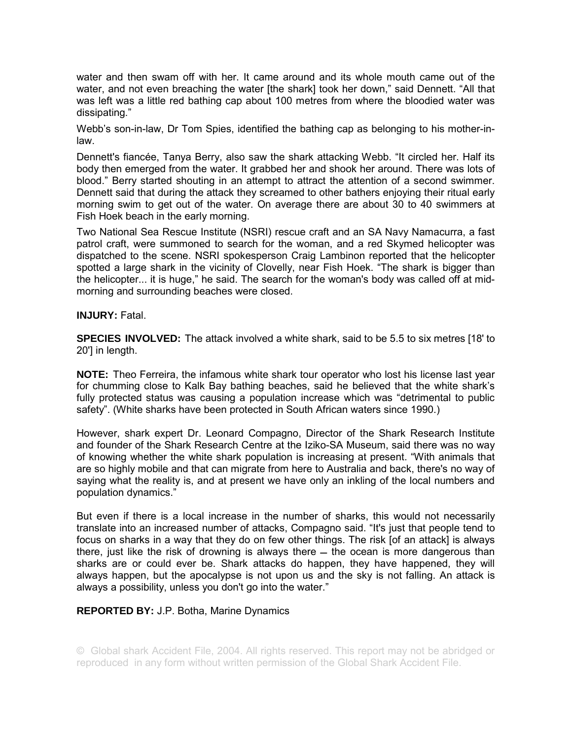water and then swam off with her. It came around and its whole mouth came out of the water, and not even breaching the water [the shark] took her down," said Dennett. "All that was left was a little red bathing cap about 100 metres from where the bloodied water was dissipating."

Webb's son-in-law, Dr Tom Spies, identified the bathing cap as belonging to his mother-inlaw.

Dennett's fiancée, Tanya Berry, also saw the shark attacking Webb. "It circled her. Half its body then emerged from the water. It grabbed her and shook her around. There was lots of blood." Berry started shouting in an attempt to attract the attention of a second swimmer. Dennett said that during the attack they screamed to other bathers enjoying their ritual early morning swim to get out of the water. On average there are about 30 to 40 swimmers at Fish Hoek beach in the early morning.

Two National Sea Rescue Institute (NSRI) rescue craft and an SA Navy Namacurra, a fast patrol craft, were summoned to search for the woman, and a red Skymed helicopter was dispatched to the scene. NSRI spokesperson Craig Lambinon reported that the helicopter spotted a large shark in the vicinity of Clovelly, near Fish Hoek. "The shark is bigger than the helicopter... it is huge," he said. The search for the woman's body was called off at midmorning and surrounding beaches were closed.

#### **INJURY:** Fatal.

**SPECIES INVOLVED:** The attack involved a white shark, said to be 5.5 to six metres [18' to 20'] in length.

**NOTE:** Theo Ferreira, the infamous white shark tour operator who lost his license last year for chumming close to Kalk Bay bathing beaches, said he believed that the white shark's fully protected status was causing a population increase which was "detrimental to public safety". (White sharks have been protected in South African waters since 1990.)

However, shark expert Dr. Leonard Compagno, Director of the Shark Research Institute and founder of the Shark Research Centre at the Iziko-SA Museum, said there was no way of knowing whether the white shark population is increasing at present. "With animals that are so highly mobile and that can migrate from here to Australia and back, there's no way of saying what the reality is, and at present we have only an inkling of the local numbers and population dynamics."

But even if there is a local increase in the number of sharks, this would not necessarily translate into an increased number of attacks, Compagno said. "It's just that people tend to focus on sharks in a way that they do on few other things. The risk [of an attack] is always there, just like the risk of drowning is always there  $-$  the ocean is more dangerous than sharks are or could ever be. Shark attacks do happen, they have happened, they will always happen, but the apocalypse is not upon us and the sky is not falling. An attack is always a possibility, unless you don't go into the water."

## **REPORTED BY:** J.P. Botha, Marine Dynamics

© Global shark Accident File, 2004. All rights reserved. This report may not be abridged or reproduced in any form without written permission of the Global Shark Accident File.